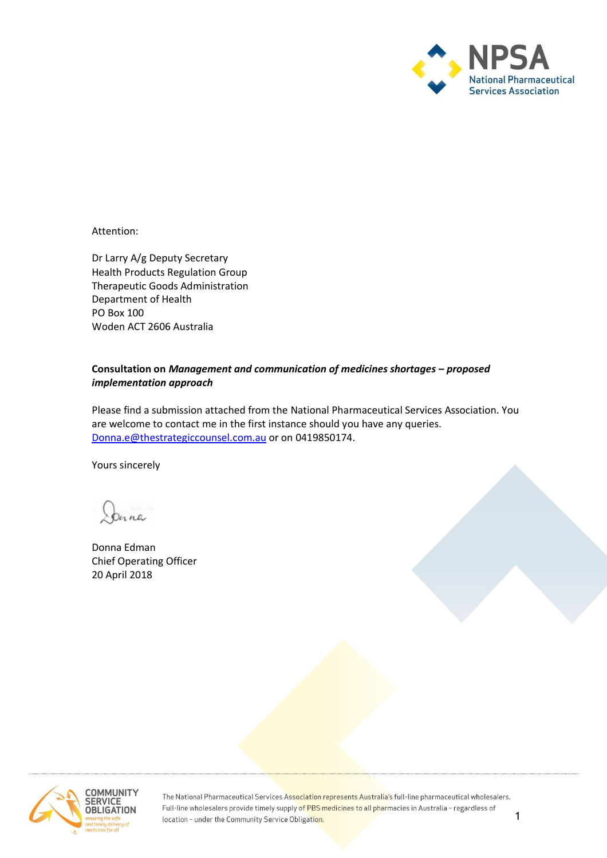

Attention:

Dr Larry A/g Deputy Secretary Health Products Regulation Group Therapeutic Goods Administration Department of Health PO Box 100 Woden ACT 2606 Australia

## **Consultation on** *Management and communication of medicines shortages – proposed implementation approach*

Please find a submission attached from the National Pharmaceutical Services Association. You are welcome to contact me in the first instance should you have any queries. [Donna.e@thestrategiccounsel.com.au](mailto:Donna.e@thestrategiccounsel.com.au) or on 0419850174.

Yours sincerely

Donna Edman Chief Operating Officer 20 April 2018



The National Pharmaceutical Services Association represents Australia's full-line pharmaceutical wholesalers. Full-line wholesalers provide timely supply of PBS medicines to all pharmacies in Australia - regardless of location - under the Community Service Obligation.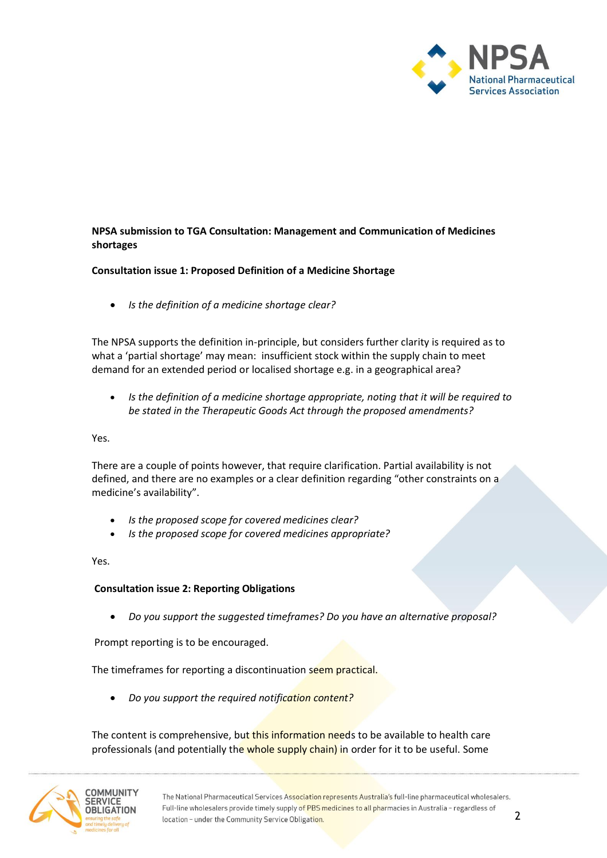

**NPSA submission to TGA Consultation: Management and Communication of Medicines shortages**

### **Consultation issue 1: Proposed Definition of a Medicine Shortage**

• *Is the definition of a medicine shortage clear?*

The NPSA supports the definition in-principle, but considers further clarity is required as to what a 'partial shortage' may mean: insufficient stock within the supply chain to meet demand for an extended period or localised shortage e.g. in a geographical area?

• *Is the definition of a medicine shortage appropriate, noting that it will be required to be stated in the Therapeutic Goods Act through the proposed amendments?*

Yes.

There are a couple of points however, that require clarification. Partial availability is not defined, and there are no examples or a clear definition regarding "other constraints on a medicine's availability".

- *Is the proposed scope for covered medicines clear?*
- *Is the proposed scope for covered medicines appropriate?*

Yes.

# **Consultation issue 2: Reporting Obligations**

• *Do you support the suggested timeframes? Do you have an alternative proposal?*

Prompt reporting is to be encouraged.

The timeframes for reporting a discontinuation seem practical.

• *Do you support the required notification content?*

The content is comprehensive, but this information needs to be available to health care professionals (and potentially the whole supply chain) in order for it to be useful. Some

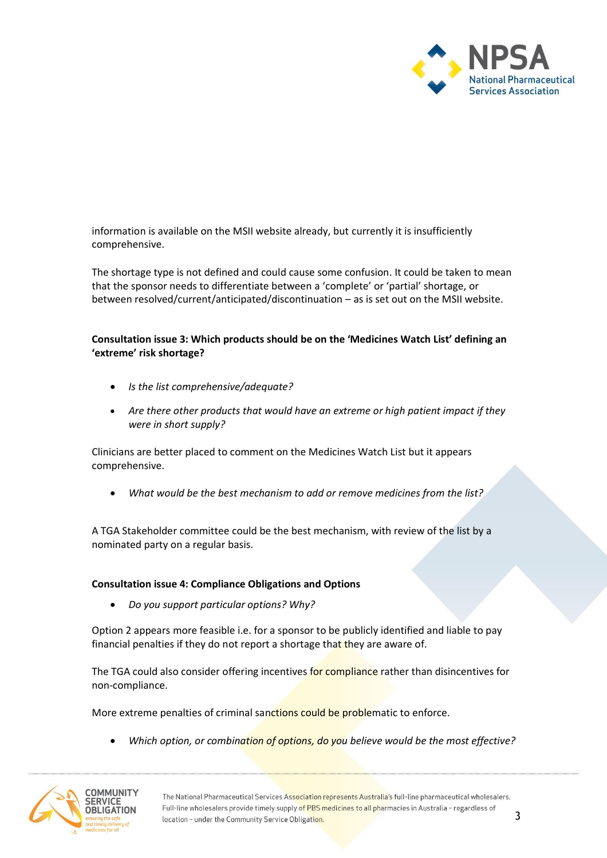

information is available on the MSII website already, but currently it is insufficiently comprehensive.

The shortage type is not defined and could cause some confusion. It could be taken to mean that the sponsor needs to differentiate between a 'complete' or 'partial' shortage, or between resolved/current/anticipated/discontinuation – as is set out on the MSII website.

### **Consultation issue 3: Which products should be on the 'Medicines Watch List' defining an 'extreme' risk shortage?**

- *Is the list comprehensive/adequate?*
- *Are there other products that would have an extreme or high patient impact if they were in short supply?*

Clinicians are better placed to comment on the Medicines Watch List but it appears comprehensive.

• *What would be the best mechanism to add or remove medicines from the list?*

A TGA Stakeholder committee could be the best mechanism, with review of the list by a nominated party on a regular basis.

#### **Consultation issue 4: Compliance Obligations and Options**

• *Do you support particular options? Why?*

Option 2 appears more feasible i.e. for a sponsor to be publicly identified and liable to pay financial penalties if they do not report a shortage that they are aware of.

The TGA could also consider offering incentives for compliance rather than disincentives for non-compliance.

More extreme penalties of criminal sanctions could be problematic to enforce.

• *Which option, or combination of options, do you believe would be the most effective?*

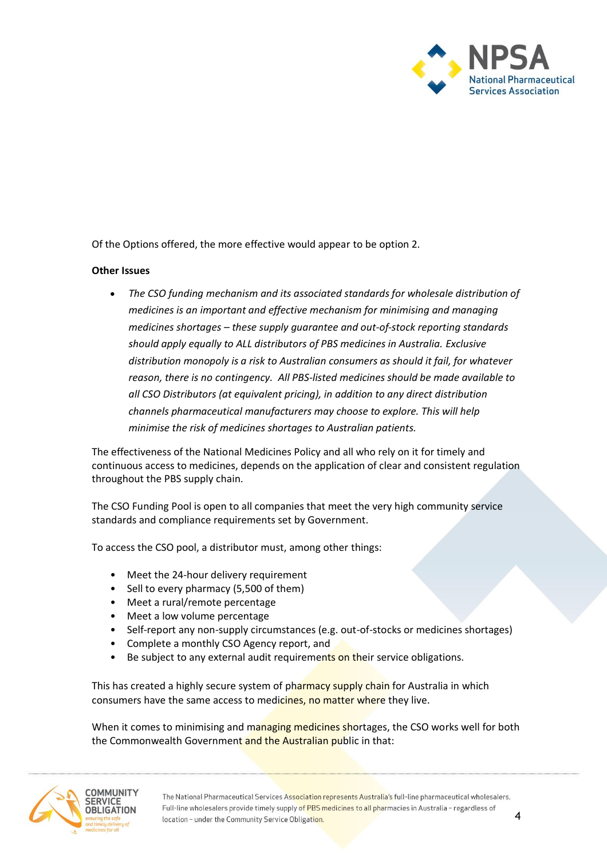

Of the Options offered, the more effective would appear to be option 2.

### **Other Issues**

• *The CSO funding mechanism and its associated standards for wholesale distribution of medicines is an important and effective mechanism for minimising and managing medicines shortages – these supply guarantee and out-of-stock reporting standards should apply equally to ALL distributors of PBS medicines in Australia. Exclusive distribution monopoly is a risk to Australian consumers as should it fail, for whatever reason, there is no contingency. All PBS-listed medicines should be made available to all CSO Distributors (at equivalent pricing), in addition to any direct distribution channels pharmaceutical manufacturers may choose to explore. This will help minimise the risk of medicines shortages to Australian patients.*

The effectiveness of the National Medicines Policy and all who rely on it for timely and continuous access to medicines, depends on the application of clear and consistent regulation throughout the PBS supply chain.

The CSO Funding Pool is open to all companies that meet the very high community service standards and compliance requirements set by Government.

To access the CSO pool, a distributor must, among other things:

- Meet the 24-hour delivery requirement
- Sell to every pharmacy (5,500 of them)
- Meet a rural/remote percentage
- Meet a low volume percentage
- Self-report any non-supply circumstances (e.g. out-of-stocks or medicines shortages)
- Complete a monthly CSO Agency report, and
- Be subject to any external audit requirements on their service obligations.

This has created a highly secure system of pharmacy supply chain for Australia in which consumers have the same access to medicines, no matter where they live.

When it comes to minimising and managing medicines shortages, the CSO works well for both the Commonwealth Government and the Australian public in that: